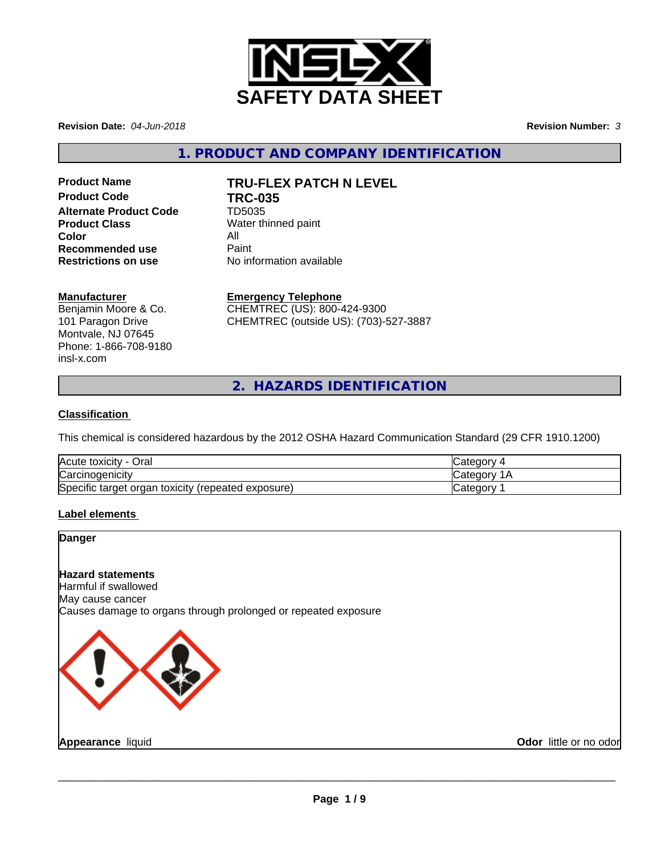

**Revision Date:** *04-Jun-2018* **Revision Number:** *3*

**1. PRODUCT AND COMPANY IDENTIFICATION**

**Product Code TRC-035 Alternate Product Code** TD5035 **Product Class** Water thinned paint **Color** All<br> **Recommended use** Paint **Recommended use**<br>Restrictions on use

# **Product Name TRU-FLEX PATCH N LEVEL**

**Restrictions on use** No information available

### **Manufacturer**

Benjamin Moore & Co. 101 Paragon Drive Montvale, NJ 07645 Phone: 1-866-708-9180 insl-x.com

**Emergency Telephone**

CHEMTREC (US): 800-424-9300 CHEMTREC (outside US): (703)-527-3887

**2. HAZARDS IDENTIFICATION**

## **Classification**

This chemical is considered hazardous by the 2012 OSHA Hazard Communication Standard (29 CFR 1910.1200)

| Acute toxicity -<br>Oral                              | Categor <sup>'</sup> |
|-------------------------------------------------------|----------------------|
| Carcinogenicity                                       | √ategorٽ             |
| Specific target organ toxicity<br>(repeated exposure) | Categor∨             |

## **Label elements**

#### **Danger**

## **Hazard statements**

Harmful if swallowed May cause cancer Causes damage to organs through prolonged or repeated exposure

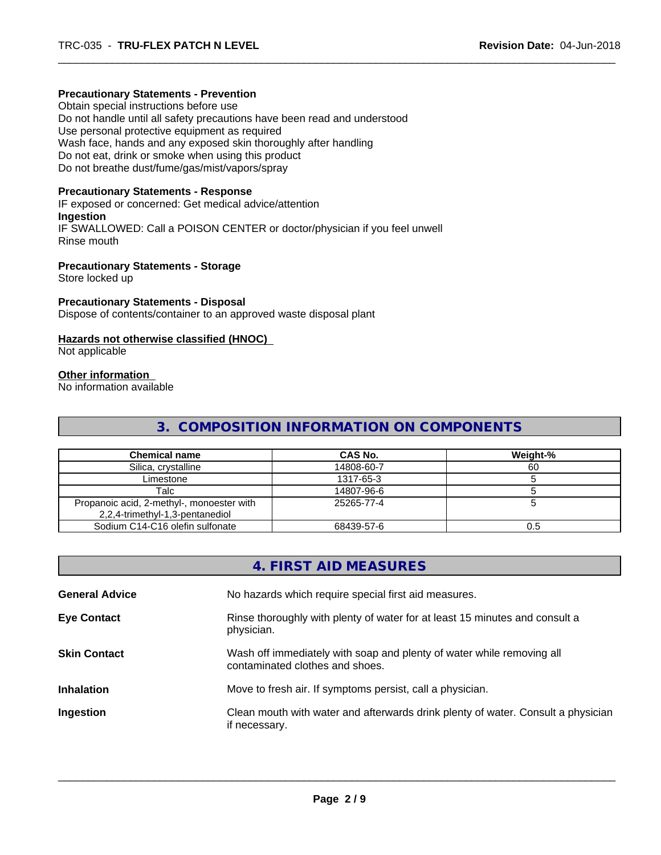#### **Precautionary Statements - Prevention**

Obtain special instructions before use Do not handle until all safety precautions have been read and understood Use personal protective equipment as required Wash face, hands and any exposed skin thoroughly after handling Do not eat, drink or smoke when using this product Do not breathe dust/fume/gas/mist/vapors/spray

#### **Precautionary Statements - Response**

IF exposed or concerned: Get medical advice/attention **Ingestion** IF SWALLOWED: Call a POISON CENTER or doctor/physician if you feel unwell Rinse mouth

#### **Precautionary Statements - Storage**

Store locked up

### **Precautionary Statements - Disposal**

Dispose of contents/container to an approved waste disposal plant

#### **Hazards not otherwise classified (HNOC)**

Not applicable

#### **Other information**

No information available

## **3. COMPOSITION INFORMATION ON COMPONENTS**

| <b>Chemical name</b>                                                         | CAS No.    | Weight-% |
|------------------------------------------------------------------------------|------------|----------|
| Silica, crystalline                                                          | 14808-60-7 | 60       |
| Limestone                                                                    | 1317-65-3  |          |
| Talc                                                                         | 14807-96-6 |          |
| Propanoic acid, 2-methyl-, monoester with<br>2,2,4-trimethyl-1,3-pentanediol | 25265-77-4 |          |
| Sodium C14-C16 olefin sulfonate                                              | 68439-57-6 | 0.5      |

|                       | 4. FIRST AID MEASURES                                                                                    |
|-----------------------|----------------------------------------------------------------------------------------------------------|
| <b>General Advice</b> | No hazards which require special first aid measures.                                                     |
| <b>Eye Contact</b>    | Rinse thoroughly with plenty of water for at least 15 minutes and consult a<br>physician.                |
| <b>Skin Contact</b>   | Wash off immediately with soap and plenty of water while removing all<br>contaminated clothes and shoes. |
| <b>Inhalation</b>     | Move to fresh air. If symptoms persist, call a physician.                                                |
| Ingestion             | Clean mouth with water and afterwards drink plenty of water. Consult a physician<br>if necessary.        |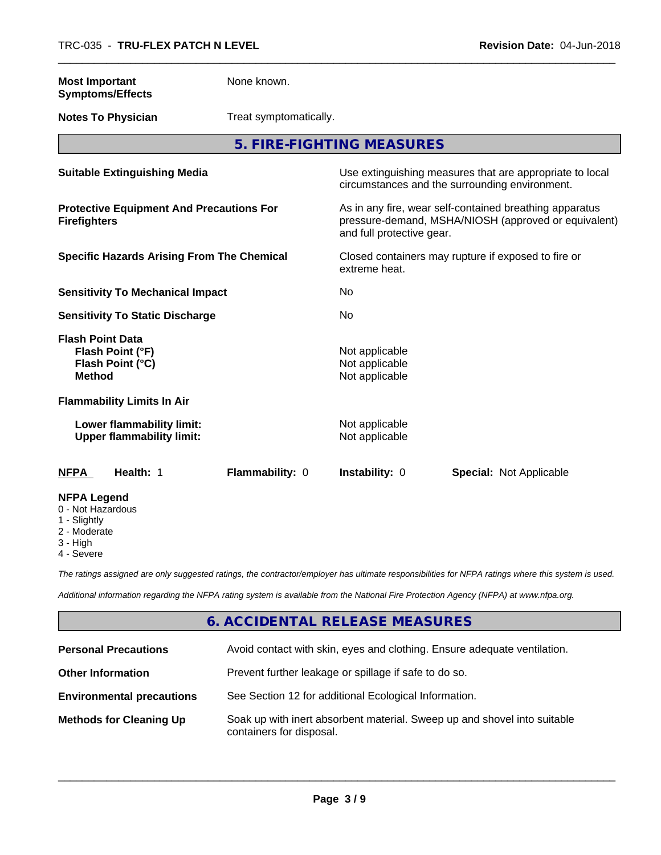| <b>Most Important</b><br><b>Symptoms/Effects</b>                                    | None known.            |                                                                                                                                              |                                |  |  |
|-------------------------------------------------------------------------------------|------------------------|----------------------------------------------------------------------------------------------------------------------------------------------|--------------------------------|--|--|
| <b>Notes To Physician</b>                                                           | Treat symptomatically. |                                                                                                                                              |                                |  |  |
|                                                                                     |                        | 5. FIRE-FIGHTING MEASURES                                                                                                                    |                                |  |  |
| <b>Suitable Extinguishing Media</b>                                                 |                        | Use extinguishing measures that are appropriate to local<br>circumstances and the surrounding environment.                                   |                                |  |  |
| <b>Protective Equipment And Precautions For</b><br><b>Firefighters</b>              |                        | As in any fire, wear self-contained breathing apparatus<br>pressure-demand, MSHA/NIOSH (approved or equivalent)<br>and full protective gear. |                                |  |  |
| <b>Specific Hazards Arising From The Chemical</b>                                   |                        | Closed containers may rupture if exposed to fire or<br>extreme heat.                                                                         |                                |  |  |
| <b>Sensitivity To Mechanical Impact</b>                                             |                        | No                                                                                                                                           |                                |  |  |
| <b>Sensitivity To Static Discharge</b>                                              |                        | No                                                                                                                                           |                                |  |  |
| <b>Flash Point Data</b><br>Flash Point (°F)<br>Flash Point (°C)<br><b>Method</b>    |                        | Not applicable<br>Not applicable<br>Not applicable                                                                                           |                                |  |  |
| <b>Flammability Limits In Air</b>                                                   |                        |                                                                                                                                              |                                |  |  |
| Lower flammability limit:<br><b>Upper flammability limit:</b>                       |                        | Not applicable<br>Not applicable                                                                                                             |                                |  |  |
| <b>NFPA</b><br>Health: 1                                                            | Flammability: 0        | Instability: 0                                                                                                                               | <b>Special: Not Applicable</b> |  |  |
| <b>NFPA Legend</b><br>0 - Not Hazardous<br>1 - Slightly<br>2 - Moderate<br>3 - High |                        |                                                                                                                                              |                                |  |  |

4 - Severe

*The ratings assigned are only suggested ratings, the contractor/employer has ultimate responsibilities for NFPA ratings where this system is used.*

*Additional information regarding the NFPA rating system is available from the National Fire Protection Agency (NFPA) at www.nfpa.org.*

## **6. ACCIDENTAL RELEASE MEASURES**

| <b>Personal Precautions</b>      | Avoid contact with skin, eyes and clothing. Ensure adequate ventilation.                             |
|----------------------------------|------------------------------------------------------------------------------------------------------|
| <b>Other Information</b>         | Prevent further leakage or spillage if safe to do so.                                                |
| <b>Environmental precautions</b> | See Section 12 for additional Ecological Information.                                                |
| <b>Methods for Cleaning Up</b>   | Soak up with inert absorbent material. Sweep up and shovel into suitable<br>containers for disposal. |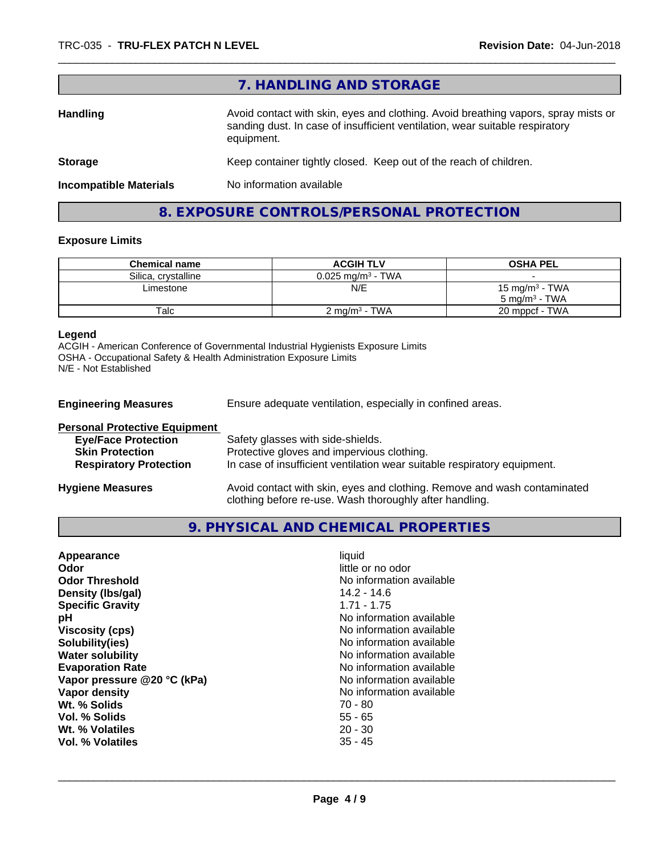|                               | 7. HANDLING AND STORAGE                                                                                                                                                          |
|-------------------------------|----------------------------------------------------------------------------------------------------------------------------------------------------------------------------------|
| <b>Handling</b>               | Avoid contact with skin, eyes and clothing. Avoid breathing vapors, spray mists or<br>sanding dust. In case of insufficient ventilation, wear suitable respiratory<br>equipment. |
| <b>Storage</b>                | Keep container tightly closed. Keep out of the reach of children.                                                                                                                |
| <b>Incompatible Materials</b> | No information available                                                                                                                                                         |

# **8. EXPOSURE CONTROLS/PERSONAL PROTECTION**

## **Exposure Limits**

| <b>Chemical name</b> | <b>ACGIH TLV</b>             | <b>OSHA PEL</b>                                        |
|----------------------|------------------------------|--------------------------------------------------------|
| Silica, crystalline  | $0.025 \text{ ma/m}^3$ - TWA |                                                        |
| Limestone            | N/E                          | 15 mg/m <sup>3</sup> - TWA<br>$5 \text{ ma/m}^3$ - TWA |
| Talc                 | 2 ma/m <sup>3</sup> - TWA    | 20 mppcf - TWA                                         |

#### **Legend**

ACGIH - American Conference of Governmental Industrial Hygienists Exposure Limits OSHA - Occupational Safety & Health Administration Exposure Limits N/E - Not Established

| <b>Engineering Measures</b>          | Ensure adequate ventilation, especially in confined areas.               |
|--------------------------------------|--------------------------------------------------------------------------|
| <b>Personal Protective Equipment</b> |                                                                          |
| <b>Eye/Face Protection</b>           | Safety glasses with side-shields.                                        |
| <b>Skin Protection</b>               | Protective gloves and impervious clothing.                               |
| <b>Respiratory Protection</b>        | In case of insufficient ventilation wear suitable respiratory equipment. |

**Hygiene Measures** Avoid contact with skin, eyes and clothing. Remove and wash contaminated clothing before re-use. Wash thoroughly after handling.

**9. PHYSICAL AND CHEMICAL PROPERTIES**

| Appearance                  | liquid                   |
|-----------------------------|--------------------------|
| Odor                        | little or no odor        |
| <b>Odor Threshold</b>       | No information available |
| Density (Ibs/gal)           | $14.2 - 14.6$            |
| <b>Specific Gravity</b>     | $1.71 - 1.75$            |
| рH                          | No information available |
| <b>Viscosity (cps)</b>      | No information available |
| Solubility(ies)             | No information available |
| <b>Water solubility</b>     | No information available |
| <b>Evaporation Rate</b>     | No information available |
| Vapor pressure @20 °C (kPa) | No information available |
| Vapor density               | No information available |
| Wt. % Solids                | $70 - 80$                |
| Vol. % Solids               | $55 - 65$                |
| Wt. % Volatiles             | $20 - 30$                |
| Vol. % Volatiles            | $35 - 45$                |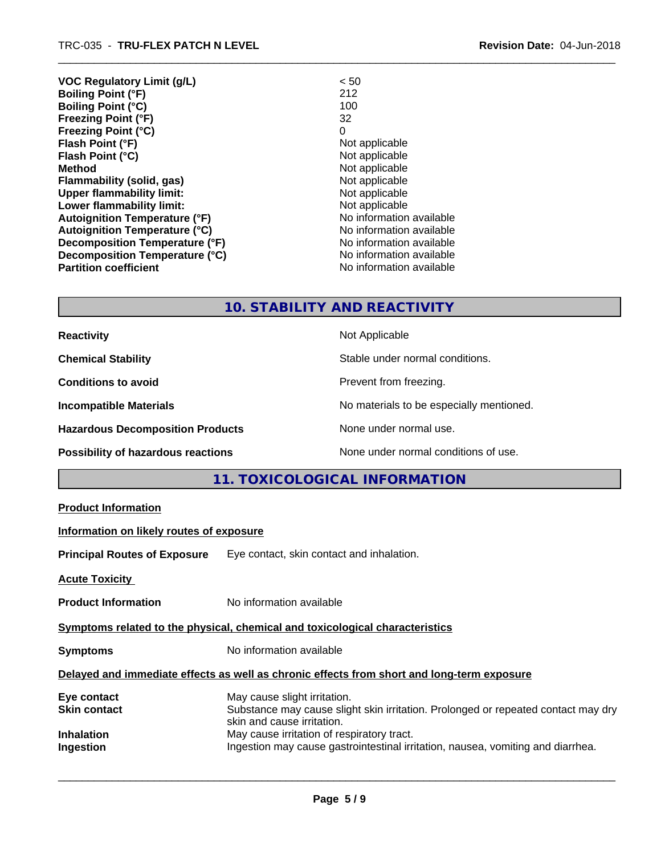| <b>VOC Regulatory Limit (g/L)</b>    | < 50                     |
|--------------------------------------|--------------------------|
| <b>Boiling Point (°F)</b>            | 212                      |
| Boiling Point (°C)                   | 100                      |
| <b>Freezing Point (°F)</b>           | 32                       |
| <b>Freezing Point (°C)</b>           | 0                        |
| Flash Point (°F)                     | Not applicable           |
| Flash Point (°C)                     | Not applicable           |
| Method                               | Not applicable           |
| Flammability (solid, gas)            | Not applicable           |
| <b>Upper flammability limit:</b>     | Not applicable           |
| Lower flammability limit:            | Not applicable           |
| <b>Autoignition Temperature (°F)</b> | No information available |
| <b>Autoignition Temperature (°C)</b> | No information available |
| Decomposition Temperature (°F)       | No information available |
| Decomposition Temperature (°C)       | No information available |
| <b>Partition coefficient</b>         | No information available |

## **10. STABILITY AND REACTIVITY**

| <b>Reactivity</b>                         | Not Applicable                           |
|-------------------------------------------|------------------------------------------|
| <b>Chemical Stability</b>                 | Stable under normal conditions.          |
| <b>Conditions to avoid</b>                | Prevent from freezing.                   |
| <b>Incompatible Materials</b>             | No materials to be especially mentioned. |
| <b>Hazardous Decomposition Products</b>   | None under normal use.                   |
| <b>Possibility of hazardous reactions</b> | None under normal conditions of use.     |

# **11. TOXICOLOGICAL INFORMATION**

| <b>Product Information</b>               |                                                                                                                                                 |
|------------------------------------------|-------------------------------------------------------------------------------------------------------------------------------------------------|
| Information on likely routes of exposure |                                                                                                                                                 |
|                                          | <b>Principal Routes of Exposure</b> Eye contact, skin contact and inhalation.                                                                   |
| <b>Acute Toxicity</b>                    |                                                                                                                                                 |
| <b>Product Information</b>               | No information available                                                                                                                        |
|                                          | Symptoms related to the physical, chemical and toxicological characteristics                                                                    |
| Symptoms                                 | No information available                                                                                                                        |
|                                          | Delayed and immediate effects as well as chronic effects from short and long-term exposure                                                      |
| Eye contact<br>Skin contact              | May cause slight irritation.<br>Substance may cause slight skin irritation. Prolonged or repeated contact may dry<br>skin and cause irritation. |
| Inhalation<br>Ingestion                  | May cause irritation of respiratory tract.<br>Ingestion may cause gastrointestinal irritation, nausea, vomiting and diarrhea.                   |
|                                          |                                                                                                                                                 |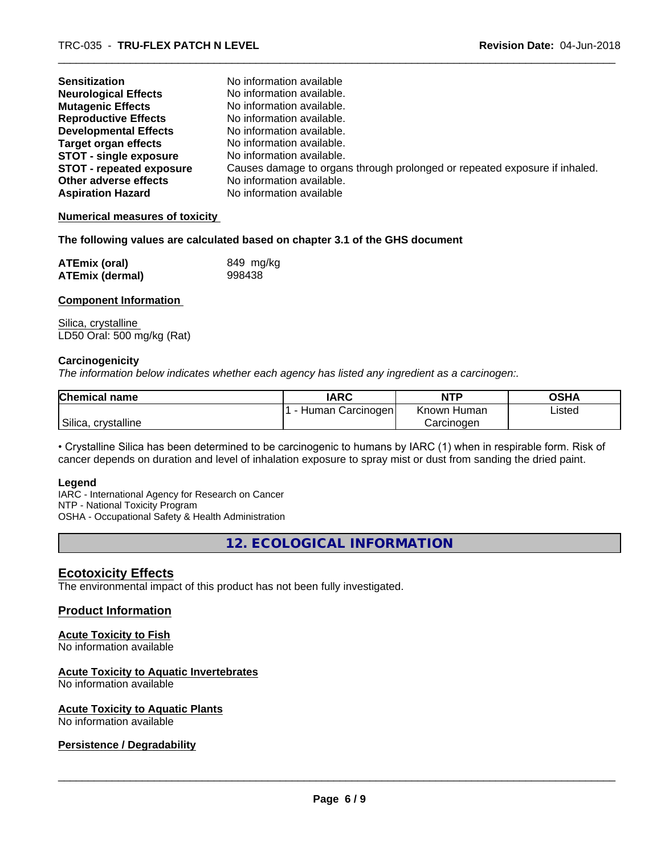| <b>Sensitization</b>            | No information available                                                   |
|---------------------------------|----------------------------------------------------------------------------|
| <b>Neurological Effects</b>     | No information available.                                                  |
| <b>Mutagenic Effects</b>        | No information available.                                                  |
| <b>Reproductive Effects</b>     | No information available.                                                  |
| <b>Developmental Effects</b>    | No information available.                                                  |
| <b>Target organ effects</b>     | No information available.                                                  |
| <b>STOT - single exposure</b>   | No information available.                                                  |
| <b>STOT - repeated exposure</b> | Causes damage to organs through prolonged or repeated exposure if inhaled. |
| Other adverse effects           | No information available.                                                  |
| <b>Aspiration Hazard</b>        | No information available                                                   |

#### **Numerical measures of toxicity**

#### **The following values are calculated based on chapter 3.1 of the GHS document**

| <b>ATEmix (oral)</b>   | 849 mg/kg |
|------------------------|-----------|
| <b>ATEmix (dermal)</b> | 998438    |

### **Component Information**

Silica, crystalline LD50 Oral: 500 mg/kg (Rat)

#### **Carcinogenicity**

*The information below indicateswhether each agency has listed any ingredient as a carcinogen:.*

| <b>Chemical name</b> | <b>IARC</b>      | <b>NTP</b>  | <b>OSHA</b> |
|----------------------|------------------|-------------|-------------|
|                      | Human Carcinogen | Known Human | Listed      |
| Silica, crystalline  |                  | Carcinogen  |             |

• Crystalline Silica has been determined to be carcinogenic to humans by IARC (1) when in respirable form. Risk of cancer depends on duration and level of inhalation exposure to spray mist or dust from sanding the dried paint.

#### **Legend**

IARC - International Agency for Research on Cancer NTP - National Toxicity Program OSHA - Occupational Safety & Health Administration

**12. ECOLOGICAL INFORMATION**

## **Ecotoxicity Effects**

The environmental impact of this product has not been fully investigated.

## **Product Information**

## **Acute Toxicity to Fish**

No information available

#### **Acute Toxicity to Aquatic Invertebrates**

No information available

#### **Acute Toxicity to Aquatic Plants**

No information available

### **Persistence / Degradability**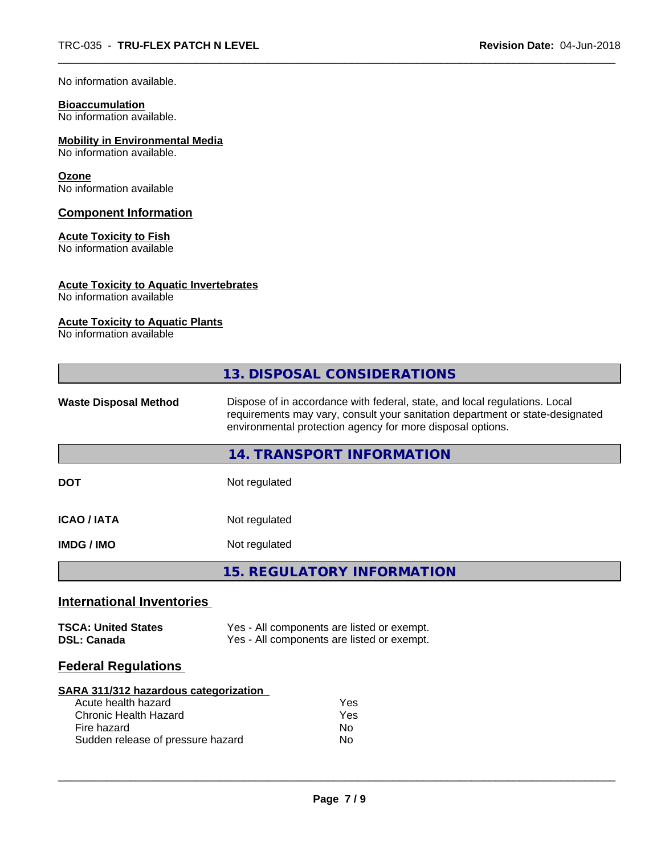No information available.

# **Bioaccumulation**

No information available.

## **Mobility in Environmental Media**

No information available.

#### **Ozone**

No information available

### **Component Information**

### **Acute Toxicity to Fish**

No information available

## **Acute Toxicity to Aquatic Invertebrates**

No information available

### **Acute Toxicity to Aquatic Plants**

No information available

|                                                                                                                                                  | 13. DISPOSAL CONSIDERATIONS                                                                                                                                                                                               |  |  |
|--------------------------------------------------------------------------------------------------------------------------------------------------|---------------------------------------------------------------------------------------------------------------------------------------------------------------------------------------------------------------------------|--|--|
| <b>Waste Disposal Method</b>                                                                                                                     | Dispose of in accordance with federal, state, and local regulations. Local<br>requirements may vary, consult your sanitation department or state-designated<br>environmental protection agency for more disposal options. |  |  |
|                                                                                                                                                  | 14. TRANSPORT INFORMATION                                                                                                                                                                                                 |  |  |
| <b>DOT</b>                                                                                                                                       | Not regulated                                                                                                                                                                                                             |  |  |
| <b>ICAO / IATA</b>                                                                                                                               | Not regulated                                                                                                                                                                                                             |  |  |
| <b>IMDG / IMO</b>                                                                                                                                | Not regulated                                                                                                                                                                                                             |  |  |
|                                                                                                                                                  | <b>15. REGULATORY INFORMATION</b>                                                                                                                                                                                         |  |  |
| <b>International Inventories</b>                                                                                                                 |                                                                                                                                                                                                                           |  |  |
| <b>TSCA: United States</b><br><b>DSL: Canada</b>                                                                                                 | Yes - All components are listed or exempt.<br>Yes - All components are listed or exempt.                                                                                                                                  |  |  |
| <b>Federal Regulations</b>                                                                                                                       |                                                                                                                                                                                                                           |  |  |
| SARA 311/312 hazardous categorization<br>Acute health hazard<br><b>Chronic Health Hazard</b><br>Fire hazard<br>Sudden release of pressure hazard | Yes<br>Yes<br>No.<br>No                                                                                                                                                                                                   |  |  |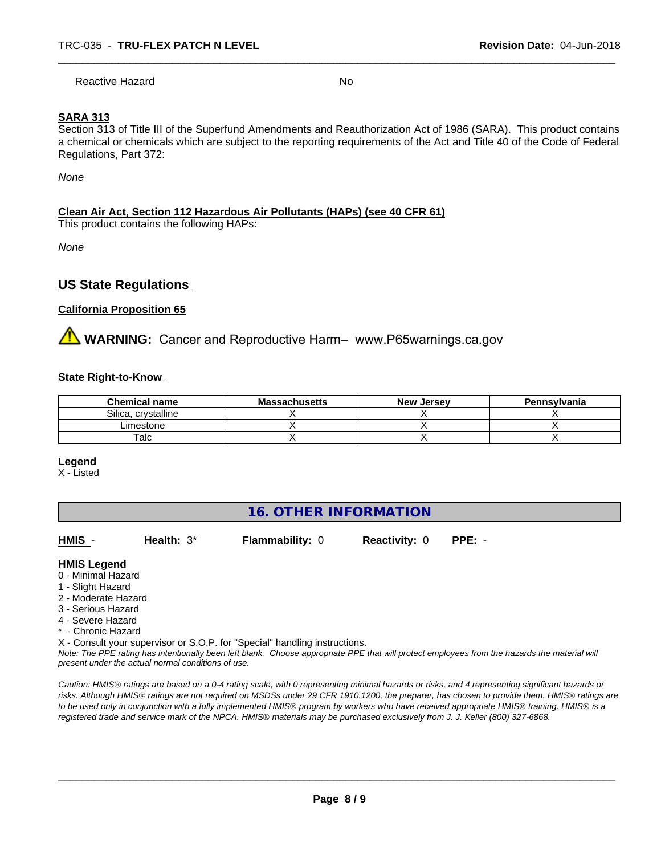Reactive Hazard No

## **SARA 313**

Section 313 of Title III of the Superfund Amendments and Reauthorization Act of 1986 (SARA). This product contains a chemical or chemicals which are subject to the reporting requirements of the Act and Title 40 of the Code of Federal Regulations, Part 372:

*None*

### **Clean Air Act,Section 112 Hazardous Air Pollutants (HAPs) (see 40 CFR 61)**

This product contains the following HAPs:

*None*

## **US State Regulations**

### **California Proposition 65**

**AVIMARNING:** Cancer and Reproductive Harm– www.P65warnings.ca.gov

#### **State Right-to-Know**

| <b>Chemical name</b>   | <b>Massachusetts</b> | <b>New Jersey</b> | Pennsylvania |
|------------------------|----------------------|-------------------|--------------|
| crystalline<br>Silica. |                      |                   |              |
| Limestone              |                      |                   |              |
| $\mathsf {^{Talc}}$    |                      |                   |              |

#### **Legend**

X - Listed

## **16. OTHER INFORMATION**

| HMIS -              | Health: $3^*$ | <b>Flammability: 0</b> | <b>Reactivity: 0</b> | $PPE: -$ |
|---------------------|---------------|------------------------|----------------------|----------|
| <b>HMIS Legend</b>  |               |                        |                      |          |
| 0 - Minimal Hazard  |               |                        |                      |          |
| 1 - Slight Hazard   |               |                        |                      |          |
| 2 - Moderate Hazard |               |                        |                      |          |
| 3 - Serious Hazard  |               |                        |                      |          |
| 4 - Severe Hazard   |               |                        |                      |          |
| * - Chronic Hazard  |               |                        |                      |          |

X - Consult your supervisor or S.O.P. for "Special" handling instructions.

*Note: The PPE rating has intentionally been left blank. Choose appropriate PPE that will protect employees from the hazards the material will present under the actual normal conditions of use.*

*Caution: HMISÒ ratings are based on a 0-4 rating scale, with 0 representing minimal hazards or risks, and 4 representing significant hazards or risks. Although HMISÒ ratings are not required on MSDSs under 29 CFR 1910.1200, the preparer, has chosen to provide them. HMISÒ ratings are to be used only in conjunction with a fully implemented HMISÒ program by workers who have received appropriate HMISÒ training. HMISÒ is a registered trade and service mark of the NPCA. HMISÒ materials may be purchased exclusively from J. J. Keller (800) 327-6868.*